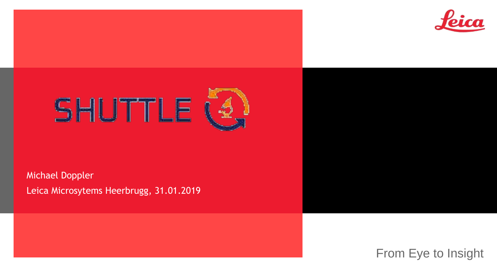



Michael Doppler Leica Microsytems Heerbrugg, 31.01.2019

From Eye to Insight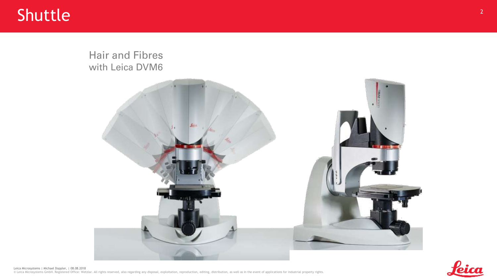#### Hair and Fibres with Leica DVM6





Leica Microsystems | Michael Doppler, | 08.08.2018 © Leica Microsystems GmbH. Registered Office: Wetzlar. All rights reserved, also regarding any disposal, exploitation, reproduction, editing, distribution, as well as in the event of applications for industrial property ri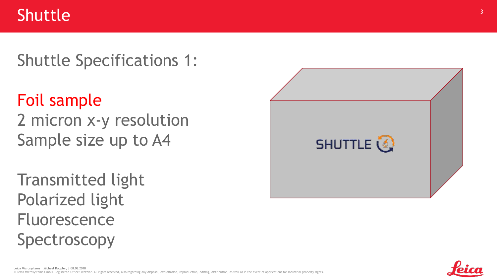#### Shuttle Specifications 1:

# Foil sample

2 micron x-y resolution Sample size up to A4

Transmitted light Polarized light Fluorescence Spectroscopy



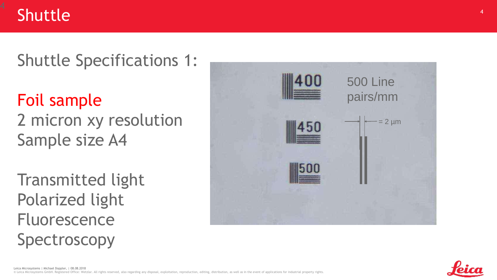

Shuttle Specifications 1:

# Foil sample

2 micron xy resolution Sample size A4

Transmitted light Polarized light Fluorescence Spectroscopy



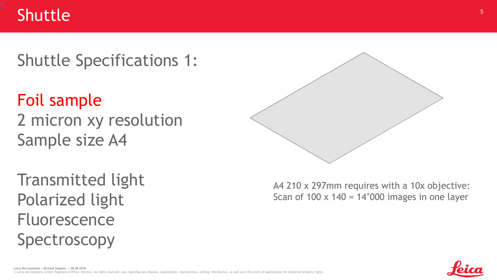

#### Shuttle Specifications 1:

# Foil sample

2 micron xy resolution Sample size A4

Transmitted light Polarized light Fluorescence Spectroscopy



A4 210 x 297mm requires with a 10x objective: Scan of  $100 \times 140 = 14'000$  images in one layer

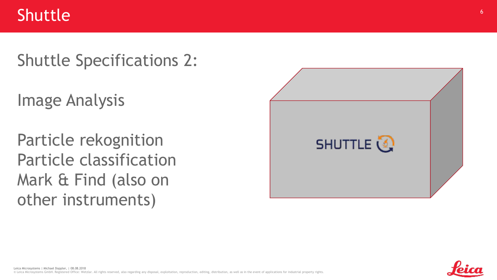#### Shuttle Specifications 2:

Image Analysis

Particle rekognition Particle classification Mark & Find (also on other instruments)



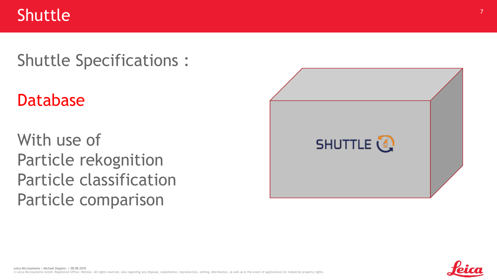### Shuttle Specifications :

## Database

With use of Particle rekognition Particle classification Particle comparison



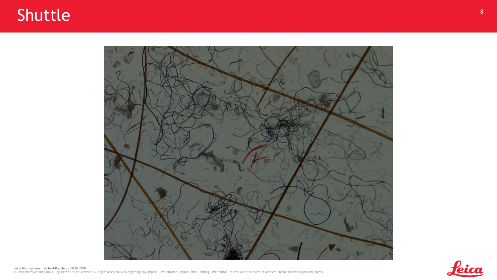



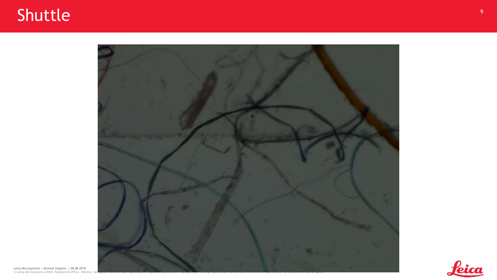

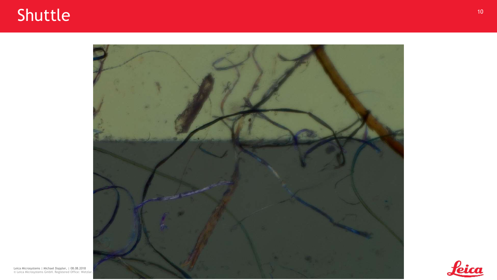# Shuttle and the state of the state of the state of the state of the state of the state of the state of the state of the state of the state of the state of the state of the state of the state of the state of the state of th





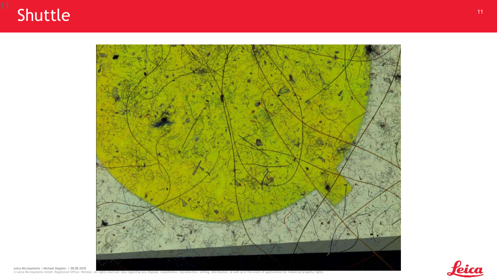





Leica Microsystems | Michael Doppler, | 08.08.2018<br>© Leica Microsystems GmbH. Registered Office: Wetzlar. All rights reserved, also regarding any disposal, exploitation, reproduction, editing, distribution, as well as in t

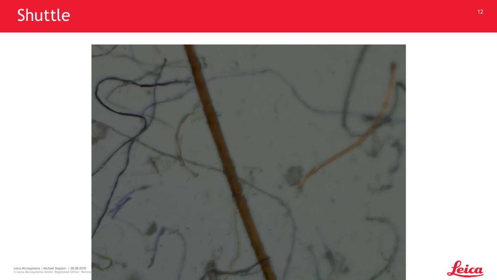# Shuttle and the set of the set of the set of the set of the set of the set of the set of the set of the set of the set of the set of the set of the set of the set of the set of the set of the set of the set of the set of t



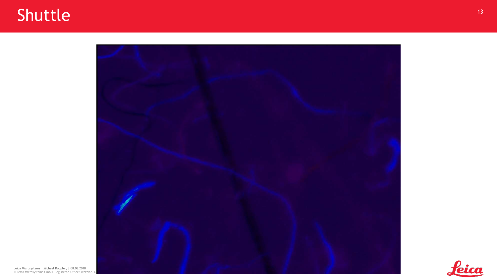## Shuttle and the state of the state of the state of the state of the state of the state of the state of the state of the state of the state of the state of the state of the state of the state of the state of the state of th